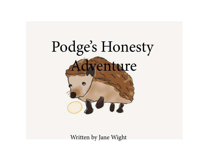

Written by Jane Wight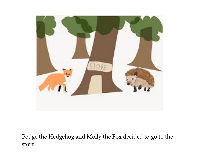

 Podge the Hedgehog and Molly the Fox decided to go to the store.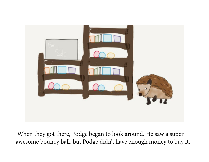

 When they got there, Podge began to look around. He saw a super awesome bouncy ball, but Podge didn't have enough money to buy it.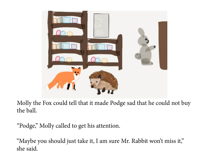

Molly the Fox could tell that it made Podge sad that he could not buy the ball.

"Podge," Molly called to get his attention.

"Maybe you should just take it, I am sure Mr. Rabbit won't miss it," she said.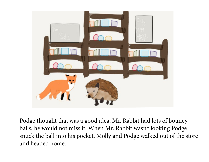

Podge thought that was a good idea. Mr. Rabbit had lots of bouncy balls, he would not miss it. When Mr. Rabbit wasn't looking Podge snuck the ball into his pocket. Molly and Podge walked out of the store and headed home.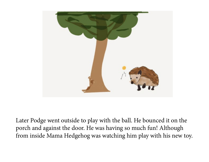

Later Podge went outside to play with the ball. He bounced it on the porch and against the door. He was having so much fun! Although from inside Mama Hedgehog was watching him play with his new toy.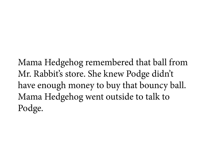Mama Hedgehog remembered that ball from Mr. Rabbit's store. She knew Podge didn't have enough money to buy that bouncy ball. Mama Hedgehog went outside to talk to Podge.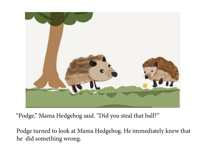

"Podge," Mama Hedgehog said. "Did you steal that ball?"

Podge turned to look at Mama Hedgehog. He immediately knew that he did something wrong.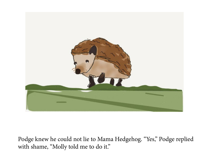

Podge knew he could not lie to Mama Hedgehog. "Yes," Podge replied with shame, "Molly told me to do it."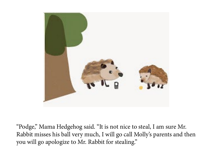

"Podge," Mama Hedgehog said. "It is not nice to steal, I am sure Mr. Rabbit misses his ball very much, I will go call Molly's parents and then you will go apologize to Mr. Rabbit for stealing."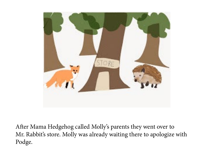

After Mama Hedgehog called Molly's parents they went over to Mr. Rabbit's store. Molly was already waiting there to apologize with Podge.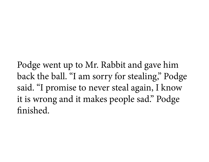Podge went up to Mr. Rabbit and gave him back the ball. "I am sorry for stealing," Podge said. "I promise to never steal again, I know it is wrong and it makes people sad." Podge finished.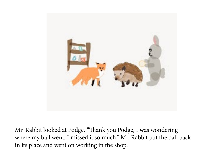

Mr. Rabbit looked at Podge. "Thank you Podge, I was wondering where my ball went. I missed it so much." Mr. Rabbit put the ball back in its place and went on working in the shop.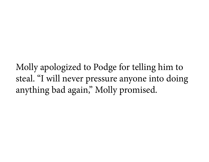Molly apologized to Podge for telling him to steal. "I will never pressure anyone into doing anything bad again," Molly promised.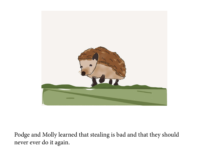

Podge and Molly learned that stealing is bad and that they should never ever do it again.